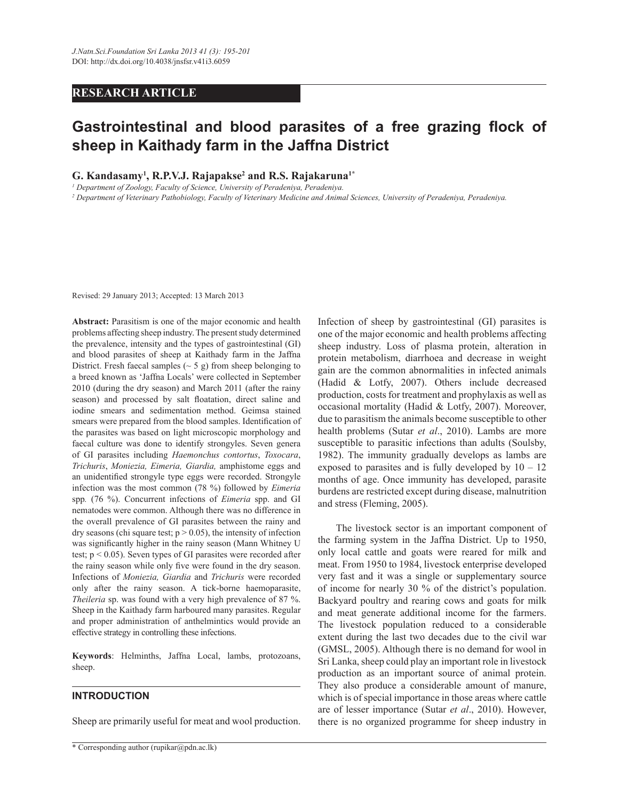## **RESEARCH ARTICLE**

# **Gastrointestinal and blood parasites of a free grazing flock of sheep in Kaithady farm in the Jaffna District**

## **G. Kandasamy<sup>1</sup> , R.P.V.J. Rajapakse<sup>2</sup> and R.S. Rajakaruna1\***

*1 Department of Zoology, Faculty of Science, University of Peradeniya, Peradeniya.*

*2 Department of Veterinary Pathobiology, Faculty of Veterinary Medicine and Animal Sciences, University of Peradeniya, Peradeniya.*

Revised: 29 January 2013; Accepted: 13 March 2013

**Abstract:** Parasitism is one of the major economic and health problems affecting sheep industry. The present study determined the prevalence, intensity and the types of gastrointestinal (GI) and blood parasites of sheep at Kaithady farm in the Jaffna District. Fresh faecal samples  $({\sim} 5 \text{ g})$  from sheep belonging to a breed known as 'Jaffna Locals' were collected in September 2010 (during the dry season) and March 2011 (after the rainy season) and processed by salt floatation, direct saline and iodine smears and sedimentation method. Geimsa stained smears were prepared from the blood samples. Identification of the parasites was based on light microscopic morphology and faecal culture was done to identify strongyles. Seven genera of GI parasites including *Haemonchus contortus*, *Toxocara*, *Trichuris*, *Moniezia, Eimeria, Giardia,* amphistome eggs and an unidentified strongyle type eggs were recorded. Strongyle infection was the most common (78 %) followed by *Eimeria*  spp*.* (76 %). Concurrent infections of *Eimeria* spp. and GI nematodes were common. Although there was no difference in the overall prevalence of GI parasites between the rainy and dry seasons (chi square test;  $p > 0.05$ ), the intensity of infection was significantly higher in the rainy season (Mann Whitney U test; p < 0.05). Seven types of GI parasites were recorded after the rainy season while only five were found in the dry season. Infections of *Moniezia, Giardia* and *Trichuris* were recorded only after the rainy season. A tick-borne haemoparasite, *Theileria* sp. was found with a very high prevalence of 87 %. Sheep in the Kaithady farm harboured many parasites. Regular and proper administration of anthelmintics would provide an effective strategy in controlling these infections.

**Keywords**: Helminths, Jaffna Local, lambs, protozoans, sheep.

#### **INTRODUCTION**

Sheep are primarily useful for meat and wool production.

Infection of sheep by gastrointestinal (GI) parasites is one of the major economic and health problems affecting sheep industry. Loss of plasma protein, alteration in protein metabolism, diarrhoea and decrease in weight gain are the common abnormalities in infected animals (Hadid & Lotfy, 2007). Others include decreased production, costs for treatment and prophylaxis as well as occasional mortality (Hadid & Lotfy, 2007). Moreover, due to parasitism the animals become susceptible to other health problems (Sutar *et al*., 2010). Lambs are more susceptible to parasitic infections than adults (Soulsby, 1982). The immunity gradually develops as lambs are exposed to parasites and is fully developed by  $10 - 12$ months of age. Once immunity has developed, parasite burdens are restricted except during disease, malnutrition and stress (Fleming, 2005).

 The livestock sector is an important component of the farming system in the Jaffna District. Up to 1950, only local cattle and goats were reared for milk and meat. From 1950 to 1984, livestock enterprise developed very fast and it was a single or supplementary source of income for nearly 30 % of the district's population. Backyard poultry and rearing cows and goats for milk and meat generate additional income for the farmers. The livestock population reduced to a considerable extent during the last two decades due to the civil war (GMSL, 2005). Although there is no demand for wool in Sri Lanka, sheep could play an important role in livestock production as an important source of animal protein. They also produce a considerable amount of manure, which is of special importance in those areas where cattle are of lesser importance (Sutar *et al*., 2010). However, there is no organized programme for sheep industry in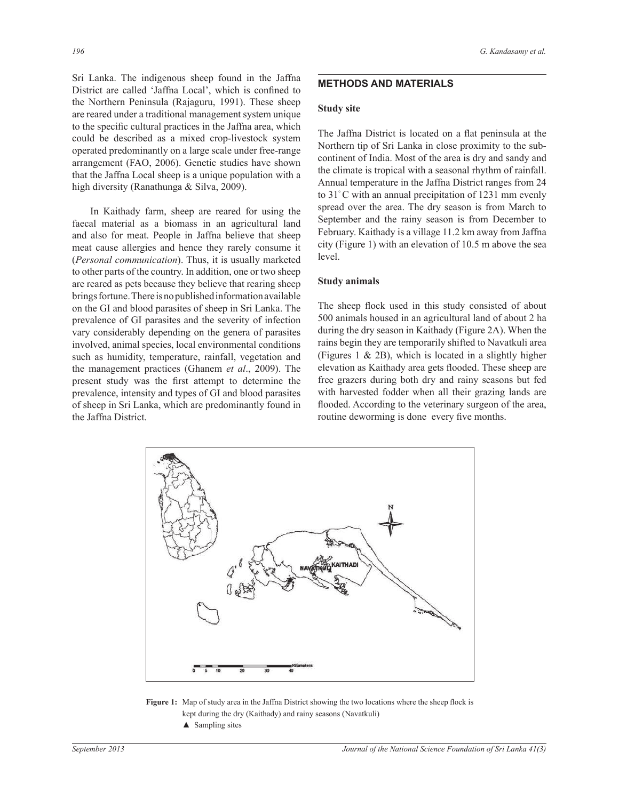Sri Lanka. The indigenous sheep found in the Jaffna District are called 'Jaffna Local', which is confined to the Northern Peninsula (Rajaguru, 1991). These sheep are reared under a traditional management system unique to the specific cultural practices in the Jaffna area, which could be described as a mixed crop-livestock system operated predominantly on a large scale under free-range arrangement (FAO, 2006). Genetic studies have shown that the Jaffna Local sheep is a unique population with a high diversity (Ranathunga & Silva, 2009).

 In Kaithady farm, sheep are reared for using the faecal material as a biomass in an agricultural land and also for meat. People in Jaffna believe that sheep meat cause allergies and hence they rarely consume it (*Personal communication*). Thus, it is usually marketed to other parts of the country. In addition, one or two sheep are reared as pets because they believe that rearing sheep brings fortune. There is no published information available on the GI and blood parasites of sheep in Sri Lanka. The prevalence of GI parasites and the severity of infection vary considerably depending on the genera of parasites involved, animal species, local environmental conditions such as humidity, temperature, rainfall, vegetation and the management practices (Ghanem *et al*., 2009). The present study was the first attempt to determine the prevalence, intensity and types of GI and blood parasites of sheep in Sri Lanka, which are predominantly found in the Jaffna District.

# **METHODS AND MATERIALS**

#### **Study site**

The Jaffna District is located on a flat peninsula at the Northern tip of Sri Lanka in close proximity to the subcontinent of India. Most of the area is dry and sandy and the climate is tropical with a seasonal rhythm of rainfall. Annual temperature in the Jaffna District ranges from 24 to 31° C with an annual precipitation of 1231 mm evenly spread over the area. The dry season is from March to September and the rainy season is from December to February. Kaithady is a village 11.2 km away from Jaffna city (Figure 1) with an elevation of 10.5 m above the sea level.

#### **Study animals**

The sheep flock used in this study consisted of about 500 animals housed in an agricultural land of about 2 ha during the dry season in Kaithady (Figure 2A). When the rains begin they are temporarily shifted to Navatkuli area (Figures 1 & 2B), which is located in a slightly higher elevation as Kaithady area gets flooded. These sheep are free grazers during both dry and rainy seasons but fed with harvested fodder when all their grazing lands are flooded. According to the veterinary surgeon of the area, routine deworming is done every five months.



**Figure 1:** Map of study area in the Jaffna District showing the two locations where the sheep flock is kept during the dry (Kaithady) and rainy seasons (Navatkuli)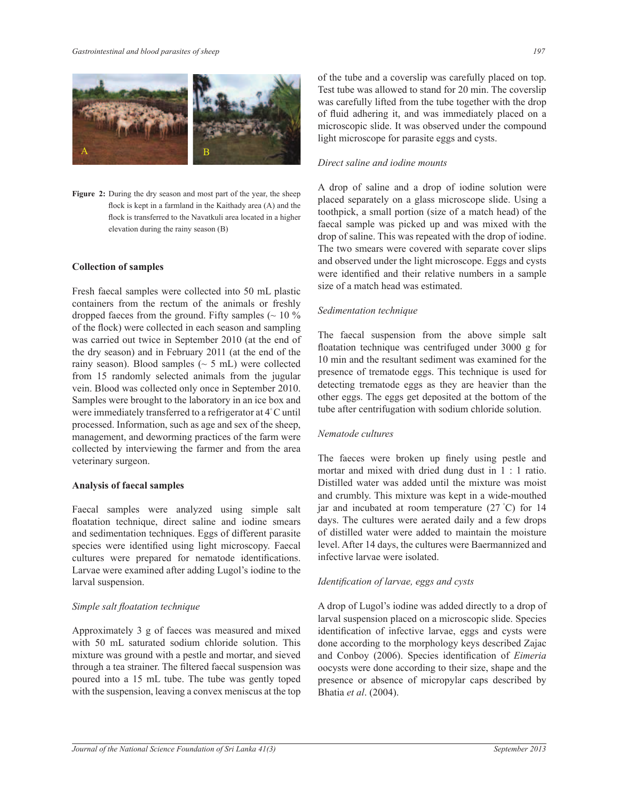

**Figure 2:** During the dry season and most part of the year, the sheep flock is kept in a farmland in the Kaithady area (A) and the flock is transferred to the Navatkuli area located in a higher elevation during the rainy season (B)

# **Collection of samples**

Fresh faecal samples were collected into 50 mL plastic containers from the rectum of the animals or freshly dropped faeces from the ground. Fifty samples  $($   $\sim$  10  $\%$ of the flock) were collected in each season and sampling was carried out twice in September 2010 (at the end of the dry season) and in February 2011 (at the end of the rainy season). Blood samples  $({\sim} 5 \text{ mL})$  were collected from 15 randomly selected animals from the jugular vein. Blood was collected only once in September 2010. Samples were brought to the laboratory in an ice box and were immediately transferred to a refrigerator at 4° C until processed. Information, such as age and sex of the sheep, management, and deworming practices of the farm were collected by interviewing the farmer and from the area veterinary surgeon.

#### **Analysis of faecal samples**

Faecal samples were analyzed using simple salt floatation technique, direct saline and iodine smears and sedimentation techniques. Eggs of different parasite species were identified using light microscopy. Faecal cultures were prepared for nematode identifications. Larvae were examined after adding Lugol's iodine to the larval suspension.

# *Simple salt floatation technique*

Approximately 3 g of faeces was measured and mixed with 50 mL saturated sodium chloride solution. This mixture was ground with a pestle and mortar, and sieved through a tea strainer. The filtered faecal suspension was poured into a 15 mL tube. The tube was gently toped with the suspension, leaving a convex meniscus at the top of the tube and a coverslip was carefully placed on top. Test tube was allowed to stand for 20 min. The coverslip was carefully lifted from the tube together with the drop of fluid adhering it, and was immediately placed on a microscopic slide. It was observed under the compound light microscope for parasite eggs and cysts.

## *Direct saline and iodine mounts*

A drop of saline and a drop of iodine solution were placed separately on a glass microscope slide. Using a toothpick, a small portion (size of a match head) of the faecal sample was picked up and was mixed with the drop of saline. This was repeated with the drop of iodine. The two smears were covered with separate cover slips and observed under the light microscope. Eggs and cysts were identified and their relative numbers in a sample size of a match head was estimated.

## *Sedimentation technique*

The faecal suspension from the above simple salt floatation technique was centrifuged under 3000 g for 10 min and the resultant sediment was examined for the presence of trematode eggs. This technique is used for detecting trematode eggs as they are heavier than the other eggs. The eggs get deposited at the bottom of the tube after centrifugation with sodium chloride solution.

# *Nematode cultures*

The faeces were broken up finely using pestle and mortar and mixed with dried dung dust in 1 : 1 ratio. Distilled water was added until the mixture was moist and crumbly. This mixture was kept in a wide-mouthed jar and incubated at room temperature (27 °C) for 14 days. The cultures were aerated daily and a few drops of distilled water were added to maintain the moisture level. After 14 days, the cultures were Baermannized and infective larvae were isolated.

# *Identification of larvae, eggs and cysts*

A drop of Lugol's iodine was added directly to a drop of larval suspension placed on a microscopic slide. Species identification of infective larvae, eggs and cysts were done according to the morphology keys described Zajac and Conboy (2006). Species identification of *Eimeria* oocysts were done according to their size, shape and the presence or absence of micropylar caps described by Bhatia *et al*. (2004).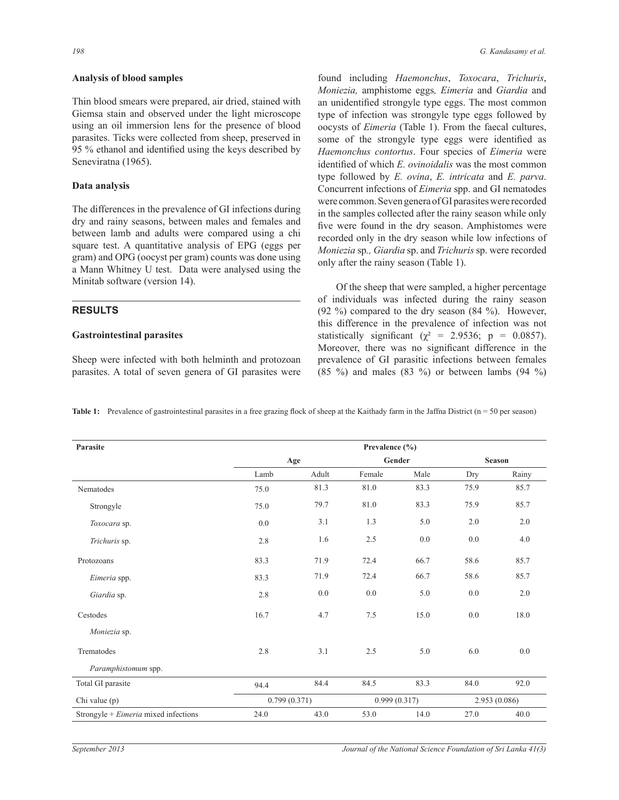#### **Analysis of blood samples**

Thin blood smears were prepared, air dried, stained with Giemsa stain and observed under the light microscope using an oil immersion lens for the presence of blood parasites. Ticks were collected from sheep, preserved in 95 % ethanol and identified using the keys described by Seneviratna (1965).

## **Data analysis**

The differences in the prevalence of GI infections during dry and rainy seasons, between males and females and between lamb and adults were compared using a chi square test. A quantitative analysis of EPG (eggs per gram) and OPG (oocyst per gram) counts was done using a Mann Whitney U test. Data were analysed using the Minitab software (version 14).

## **RESULTS**

#### **Gastrointestinal parasites**

Sheep were infected with both helminth and protozoan parasites. A total of seven genera of GI parasites were found including *Haemonchus*, *Toxocara*, *Trichuris*, *Moniezia,* amphistome eggs*, Eimeria* and *Giardia* and an unidentified strongyle type eggs. The most common type of infection was strongyle type eggs followed by oocysts of *Eimeria* (Table 1). From the faecal cultures, some of the strongyle type eggs were identified as *Haemonchus contortus*. Four species of *Eimeria* were identified of which *E. ovinoidalis* was the most common type followed by *E. ovina*, *E. intricata* and *E. parva*. Concurrent infections of *Eimeria* spp. and GI nematodes were common. Seven genera of GI parasites were recorded in the samples collected after the rainy season while only five were found in the dry season. Amphistomes were recorded only in the dry season while low infections of *Moniezia* sp*., Giardia* sp. and *Trichuris* sp. were recorded only after the rainy season (Table 1).

 Of the sheep that were sampled, a higher percentage of individuals was infected during the rainy season (92 %) compared to the dry season (84 %). However, this difference in the prevalence of infection was not statistically significant ( $\chi^2$  = 2.9536; p = 0.0857). Moreover, there was no significant difference in the prevalence of GI parasitic infections between females  $(85 \%)$  and males  $(83 \%)$  or between lambs  $(94 \%)$ 

|  |  | Table 1: Prevalence of gastrointestinal parasites in a free grazing flock of sheep at the Kaithady farm in the Jaffna District ( $n = 50$ per season) |  |  |  |
|--|--|-------------------------------------------------------------------------------------------------------------------------------------------------------|--|--|--|
|--|--|-------------------------------------------------------------------------------------------------------------------------------------------------------|--|--|--|

| Parasite                             | Prevalence (%) |       |              |      |               |       |  |
|--------------------------------------|----------------|-------|--------------|------|---------------|-------|--|
|                                      | Age            |       | Gender       |      | <b>Season</b> |       |  |
|                                      | Lamb           | Adult | Female       | Male | Dry           | Rainy |  |
| Nematodes                            | 75.0           | 81.3  | 81.0         | 83.3 | 75.9          | 85.7  |  |
| Strongyle                            | 75.0           | 79.7  | 81.0         | 83.3 | 75.9          | 85.7  |  |
| Toxocara sp.                         | 0.0            | 3.1   | 1.3          | 5.0  | 2.0           | 2.0   |  |
| Trichuris sp.                        | 2.8            | 1.6   | 2.5          | 0.0  | 0.0           | 4.0   |  |
| Protozoans                           | 83.3           | 71.9  | 72.4         | 66.7 | 58.6          | 85.7  |  |
| Eimeria spp.                         | 83.3           | 71.9  | 72.4         | 66.7 | 58.6          | 85.7  |  |
| Giardia sp.                          | 2.8            | 0.0   | 0.0          | 5.0  | 0.0           | 2.0   |  |
| Cestodes                             | 16.7           | 4.7   | 7.5          | 15.0 | 0.0           | 18.0  |  |
| Moniezia sp.                         |                |       |              |      |               |       |  |
| Trematodes                           | 2.8            | 3.1   | 2.5          | 5.0  | 6.0           | 0.0   |  |
| Paramphistomum spp.                  |                |       |              |      |               |       |  |
| Total GI parasite                    | 94.4           | 84.4  | 84.5         | 83.3 | 84.0          | 92.0  |  |
| Chi value (p)                        | 0.799(0.371)   |       | 0.999(0.317) |      | 2.953 (0.086) |       |  |
| Strongyle + Eimeria mixed infections | 24.0           | 43.0  | 53.0         | 14.0 | 27.0          | 40.0  |  |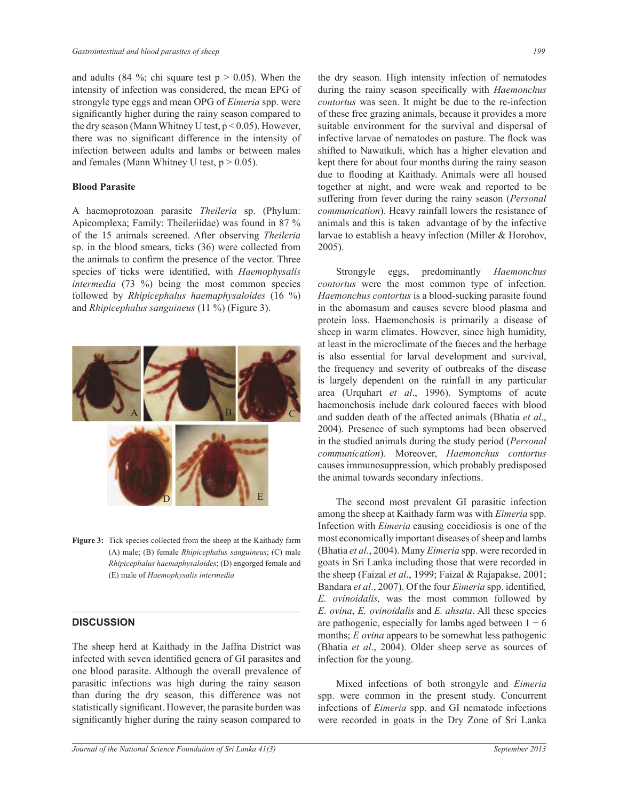and adults (84 %; chi square test  $p > 0.05$ ). When the intensity of infection was considered, the mean EPG of strongyle type eggs and mean OPG of *Eimeria* spp. were significantly higher during the rainy season compared to the dry season (Mann Whitney U test,  $p < 0.05$ ). However, there was no significant difference in the intensity of infection between adults and lambs or between males and females (Mann Whitney U test,  $p > 0.05$ ).

#### **Blood Parasite**

A haemoprotozoan parasite *Theileria* sp. (Phylum: Apicomplexa; Family: Theileriidae) was found in 87 % of the 15 animals screened. After observing *Theileria* sp. in the blood smears, ticks (36) were collected from the animals to confirm the presence of the vector. Three species of ticks were identified, with *Haemophysalis intermedia* (73 %) being the most common species followed by *Rhipicephalus haemaphysaloides* (16 %) and *Rhipicephalus sanguineus* (11 %) (Figure 3).



**Figure 3:** Tick species collected from the sheep at the Kaithady farm (A) male; (B) female *Rhipicephalus sanguineus*; (C) male *Rhipicephalus haemaphysaloides*; (D) engorged female and (E) male of *Haemophysalis intermedia*

## **DISCUSSION**

The sheep herd at Kaithady in the Jaffna District was infected with seven identified genera of GI parasites and one blood parasite. Although the overall prevalence of parasitic infections was high during the rainy season than during the dry season, this difference was not statistically significant. However, the parasite burden was significantly higher during the rainy season compared to

the dry season. High intensity infection of nematodes during the rainy season specifically with *Haemonchus contortus* was seen. It might be due to the re-infection of these free grazing animals, because it provides a more suitable environment for the survival and dispersal of infective larvae of nematodes on pasture. The flock was shifted to Nawatkuli, which has a higher elevation and kept there for about four months during the rainy season due to flooding at Kaithady. Animals were all housed together at night, and were weak and reported to be suffering from fever during the rainy season (*Personal communication*). Heavy rainfall lowers the resistance of animals and this is taken advantage of by the infective larvae to establish a heavy infection (Miller & Horohov, 2005).

 Strongyle eggs, predominantly *Haemonchus contortus* were the most common type of infection. *Haemonchus contortus* is a blood-sucking parasite found in the abomasum and causes severe blood plasma and protein loss. Haemonchosis is primarily a disease of sheep in warm climates. However, since high humidity, at least in the microclimate of the faeces and the herbage is also essential for larval development and survival, the frequency and severity of outbreaks of the disease is largely dependent on the rainfall in any particular area (Urquhart *et al*., 1996). Symptoms of acute haemonchosis include dark coloured faeces with blood and sudden death of the affected animals (Bhatia *et al*., 2004). Presence of such symptoms had been observed in the studied animals during the study period (*Personal communication*). Moreover, *Haemonchus contortus* causes immunosuppression, which probably predisposed the animal towards secondary infections.

 The second most prevalent GI parasitic infection among the sheep at Kaithady farm was with *Eimeria* spp. Infection with *Eimeria* causing coccidiosis is one of the most economically important diseases of sheep and lambs (Bhatia *et al*., 2004). Many *Eimeria* spp. were recorded in goats in Sri Lanka including those that were recorded in the sheep (Faizal *et al*., 1999; Faizal & Rajapakse, 2001; Bandara *et al*., 2007). Of the four *Eimeria* spp. identified*, E. ovinoidalis,* was the most common followed by *E. ovina*, *E. ovinoidalis* and *E. ahsata*. All these species are pathogenic, especially for lambs aged between  $1 - 6$ months; *E ovina* appears to be somewhat less pathogenic (Bhatia *et al*., 2004). Older sheep serve as sources of infection for the young.

 Mixed infections of both strongyle and *Eimeria* spp. were common in the present study. Concurrent infections of *Eimeria* spp. and GI nematode infections were recorded in goats in the Dry Zone of Sri Lanka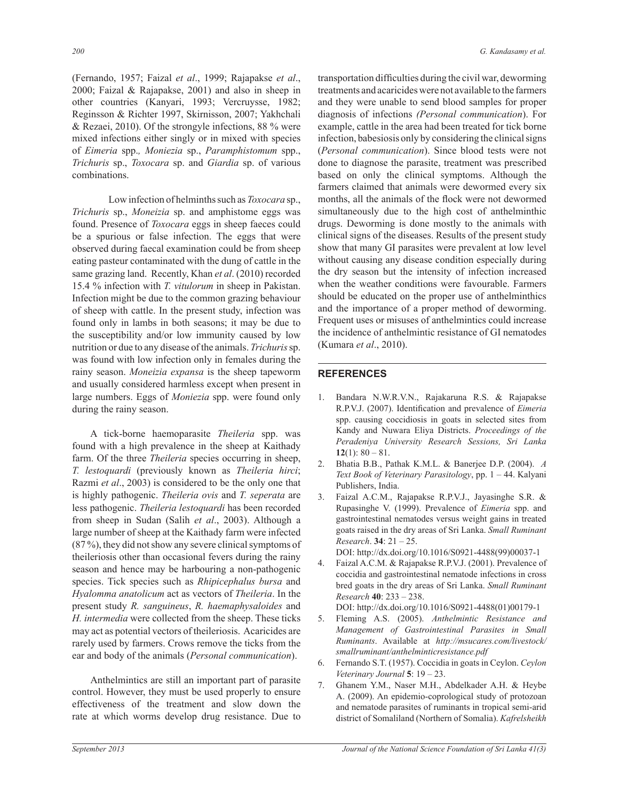(Fernando, 1957; Faizal *et al*., 1999; Rajapakse *et al*., 2000; Faizal & Rajapakse, 2001) and also in sheep in other countries (Kanyari, 1993; Vercruysse, 1982; Reginsson & Richter 1997, Skirnisson, 2007; Yakhchali & Rezaei, 2010). Of the strongyle infections, 88 % were mixed infections either singly or in mixed with species of *Eimeria* spp.*, Moniezia* sp., *Paramphistomum* spp., *Trichuris* sp., *Toxocara* sp. and *Giardia* sp. of various combinations.

 Low infection of helminths such as *Toxocara* sp., *Trichuris* sp., *Moneizia* sp. and amphistome eggs was found. Presence of *Toxocara* eggs in sheep faeces could be a spurious or false infection. The eggs that were observed during faecal examination could be from sheep eating pasteur contaminated with the dung of cattle in the same grazing land. Recently, Khan *et al*. (2010) recorded 15.4 % infection with *T. vitulorum* in sheep in Pakistan. Infection might be due to the common grazing behaviour of sheep with cattle. In the present study, infection was found only in lambs in both seasons; it may be due to the susceptibility and/or low immunity caused by low nutrition or due to any disease of the animals. *Trichuris* sp. was found with low infection only in females during the rainy season. *Moneizia expansa* is the sheep tapeworm and usually considered harmless except when present in large numbers. Eggs of *Moniezia* spp. were found only during the rainy season.

 A tick-borne haemoparasite *Theileria* spp. was found with a high prevalence in the sheep at Kaithady farm. Of the three *Theileria* species occurring in sheep, *T. lestoquardi* (previously known as *Theileria hirci*; Razmi *et al*., 2003) is considered to be the only one that is highly pathogenic. *Theileria ovis* and *T. seperata* are less pathogenic. *Theileria lestoquardi* has been recorded from sheep in Sudan (Salih *et al*., 2003). Although a large number of sheep at the Kaithady farm were infected (87 %), they did not show any severe clinical symptoms of theileriosis other than occasional fevers during the rainy season and hence may be harbouring a non-pathogenic species. Tick species such as *Rhipicephalus bursa* and *Hyalomma anatolicum* act as vectors of *Theileria*. In the present study *R. sanguineus*, *R. haemaphysaloides* and *H. intermedia* were collected from the sheep. These ticks may act as potential vectors of theileriosis. Acaricides are rarely used by farmers. Crows remove the ticks from the ear and body of the animals (*Personal communication*).

 Anthelmintics are still an important part of parasite control. However, they must be used properly to ensure effectiveness of the treatment and slow down the rate at which worms develop drug resistance. Due to

transportation difficulties during the civil war, deworming treatments and acaricides were not available to the farmers and they were unable to send blood samples for proper diagnosis of infections *(Personal communication*). For example, cattle in the area had been treated for tick borne infection, babesiosis only by considering the clinical signs (*Personal communication*). Since blood tests were not done to diagnose the parasite, treatment was prescribed based on only the clinical symptoms. Although the farmers claimed that animals were dewormed every six months, all the animals of the flock were not dewormed simultaneously due to the high cost of anthelminthic drugs. Deworming is done mostly to the animals with clinical signs of the diseases. Results of the present study show that many GI parasites were prevalent at low level without causing any disease condition especially during the dry season but the intensity of infection increased when the weather conditions were favourable. Farmers should be educated on the proper use of anthelminthics and the importance of a proper method of deworming. Frequent uses or misuses of anthelmintics could increase the incidence of anthelmintic resistance of GI nematodes (Kumara *et al*., 2010).

## **REFERENCES**

- 1. Bandara N.W.R.V.N., Rajakaruna R.S. & Rajapakse R.P.V.J. (2007). Identification and prevalence of *Eimeria*  spp. causing coccidiosis in goats in selected sites from Kandy and Nuwara Eliya Districts. *Proceedings of the Peradeniya University Research Sessions, Sri Lanka*  **12**(1):  $80 - 81$ .
- 2. Bhatia B.B., Pathak K.M.L. & Banerjee D.P. (2004). *A Text Book of Veterinary Parasitology*, pp. 1 – 44. Kalyani Publishers, India.
- 3. Faizal A.C.M., Rajapakse R.P.V.J., Jayasinghe S.R. & Rupasinghe V. (1999). Prevalence of *Eimeria* spp. and gastrointestinal nematodes versus weight gains in treated goats raised in the dry areas of Sri Lanka. *Small Ruminant Research*. **34**: 21 – 25.

DOI: http://dx.doi.org/10.1016/S0921-4488(99)00037-1

4. Faizal A.C.M. & Rajapakse R.P.V.J. (2001). Prevalence of coccidia and gastrointestinal nematode infections in cross bred goats in the dry areas of Sri Lanka. *Small Ruminant Research* **40**: 233 – 238.

DOI: http://dx.doi.org/10.1016/S0921-4488(01)00179-1

- 5. Fleming A.S. (2005). *Anthelmintic Resistance and Management of Gastrointestinal Parasites in Small Ruminants*. Available at *http://msucares.com/livestock/ smallruminant/anthelminticresistance.pdf*
- 6. Fernando S.T. (1957). Coccidia in goats in Ceylon. *Ceylon Veterinary Journal* **5**: 19 – 23.
- 7. Ghanem Y.M., Naser M.H., Abdelkader A.H. & Heybe A. (2009). An epidemio-coprological study of protozoan and nematode parasites of ruminants in tropical semi-arid district of Somaliland (Northern of Somalia). *Kafrelsheikh*